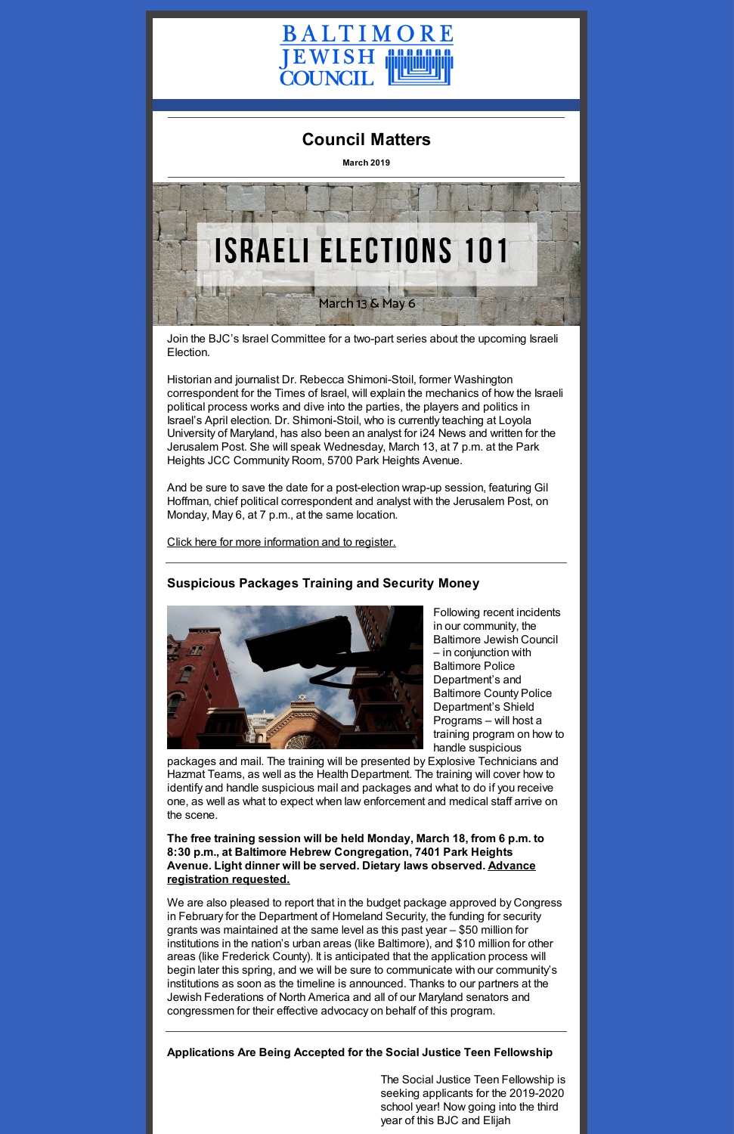

# **Council Matters**

**March 2019**



Join the BJC's Israel Committee for a two-part series about the upcoming Israeli Election.

Historian and journalist Dr. Rebecca Shimoni-Stoil, former Washington correspondent for the Times of Israel, will explain the mechanics of how the Israeli political process works and dive into the parties, the players and politics in Israel's April election. Dr. Shimoni-Stoil, who is currently teaching at Loyola University of Maryland, has also been an analyst for i24 News and written for the Jerusalem Post. She will speak Wednesday, March 13, at 7 p.m. at the Park Heights JCC Community Room, 5700 Park Heights Avenue.

And be sure to save the date for a post-election wrap-up session, featuring Gil Hoffman, chief political correspondent and analyst with the Jerusalem Post, on Monday, May 6, at 7 p.m., at the same location.

Click here for more [information](https://www.baltjc.org/calendar/israeli-elections-101-pre-election-briefing) and to register.

## **Suspicious Packages Training and Security Money**



Following recent incidents in our community, the Baltimore Jewish Council – in conjunction with Baltimore Police Department's and Baltimore County Police Department's Shield Programs – will host a training program on how to handle suspicious

packages and mail. The training will be presented by Explosive Technicians and Hazmat Teams, as well as the Health Department. The training will cover how to identify and handle suspicious mail and packages and what to do if you receive one, as well as what to expect when law enforcement and medical staff arrive on the scene.

**The free training session will be held Monday, March 18, from 6 p.m. to 8:30 p.m., at Baltimore Hebrew Congregation, 7401 Park Heights Avenue. Light dinner will be served. Dietary laws [observed.](https://www.picatic.com/SuspiciousPackages) Advance registration requested.**

We are also pleased to report that in the budget package approved by Congress in February for the Department of Homeland Security, the funding for security grants was maintained at the same level as this past year – \$50 million for institutions in the nation's urban areas (like Baltimore), and \$10 million for other areas (like Frederick County). It is anticipated that the application process will begin later this spring, and we will be sure to communicate with our community's institutions as soon as the timeline is announced. Thanks to our partners at the Jewish Federations of North America and all of our Maryland senators and congressmen for their effective advocacy on behalf of this program.

#### **Applications Are Being Accepted for the Social Justice Teen Fellowship**

The Social Justice Teen Fellowship is seeking applicants for the 2019-2020 school year! Now going into the third year of this BJC and Elijah